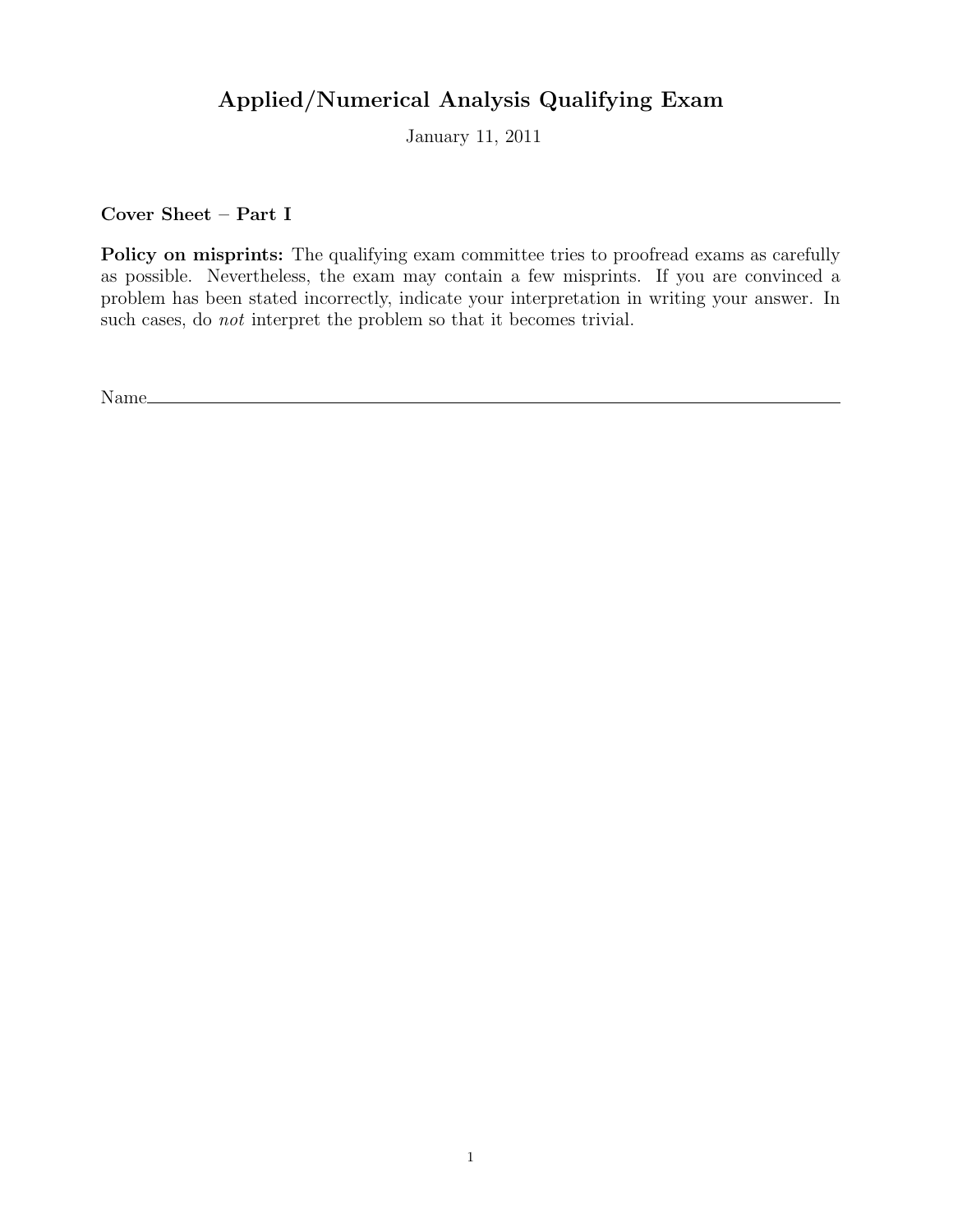## Applied/Numerical Analysis Qualifying Exam

January 11, 2011

Cover Sheet – Part I

Policy on misprints: The qualifying exam committee tries to proofread exams as carefully as possible. Nevertheless, the exam may contain a few misprints. If you are convinced a problem has been stated incorrectly, indicate your interpretation in writing your answer. In such cases, do not interpret the problem so that it becomes trivial.

Name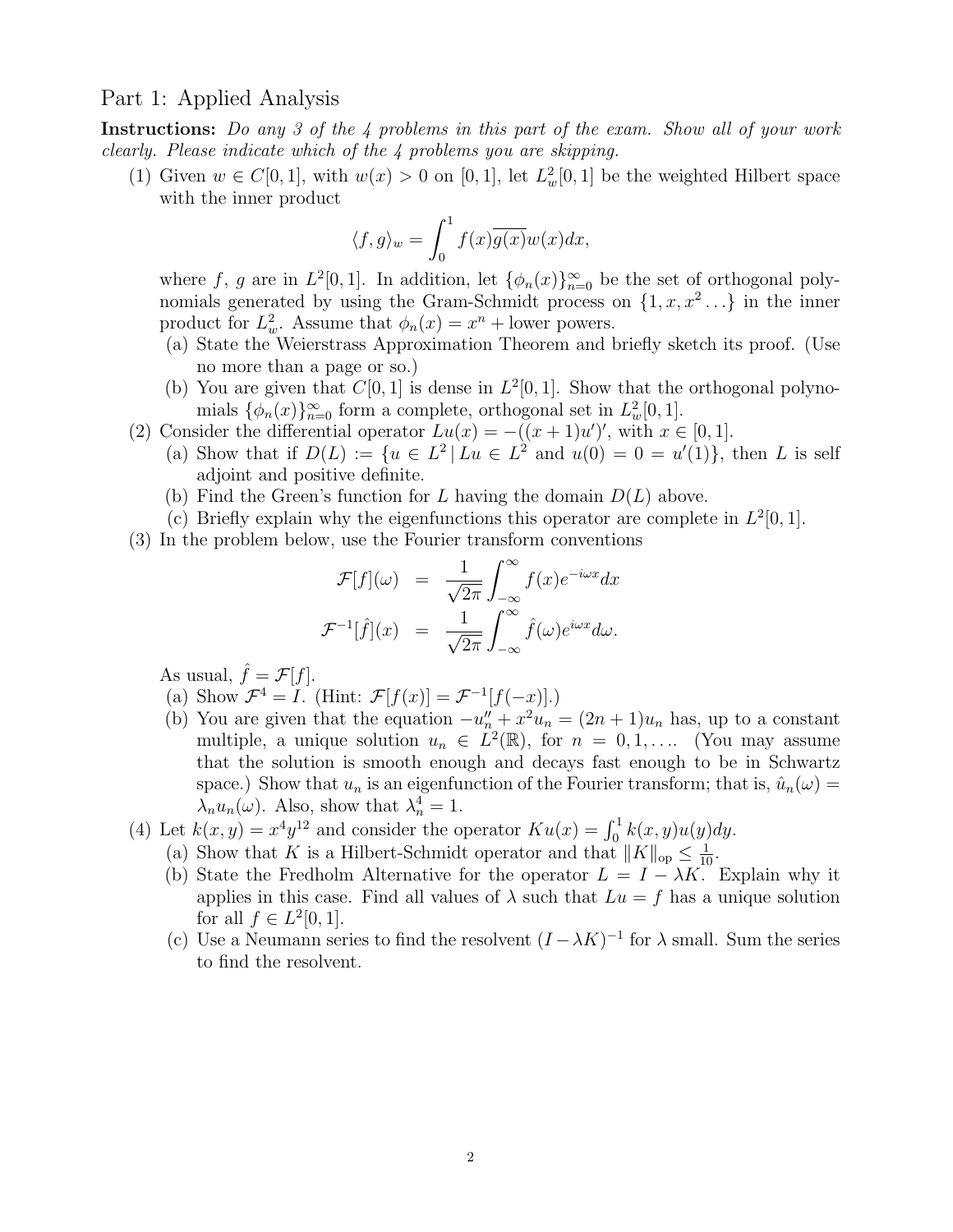## Part 1: Applied Analysis

Instructions: Do any 3 of the 4 problems in this part of the exam. Show all of your work clearly. Please indicate which of the 4 problems you are skipping.

(1) Given  $w \in C[0,1]$ , with  $w(x) > 0$  on  $[0,1]$ , let  $L^2_w[0,1]$  be the weighted Hilbert space with the inner product

$$
\langle f, g \rangle_w = \int_0^1 f(x) \overline{g(x)} w(x) dx,
$$

where f, g are in  $L^2[0,1]$ . In addition, let  $\{\phi_n(x)\}_{n=0}^{\infty}$  be the set of orthogonal polynomials generated by using the Gram-Schmidt process on  $\{1, x, x^2 \dots\}$  in the inner product for  $L^2_w$ . Assume that  $\phi_n(x) = x^n +$  lower powers.

- (a) State the Weierstrass Approximation Theorem and briefly sketch its proof. (Use no more than a page or so.)
- (b) You are given that  $C[0, 1]$  is dense in  $L^2[0, 1]$ . Show that the orthogonal polynomials  $\{\phi_n(x)\}_{n=0}^{\infty}$  form a complete, orthogonal set in  $L^2_w[0,1]$ .
- (2) Consider the differential operator  $Lu(x) = -((x+1)u')'$ , with  $x \in [0,1]$ .
	- (a) Show that if  $D(L) := \{u \in L^2 | Lu \in L^2 \text{ and } u(0) = 0 = u'(1)\}\$ , then L is self adjoint and positive definite.
	- (b) Find the Green's function for L having the domain  $D(L)$  above.
	- (c) Briefly explain why the eigenfunctions this operator are complete in  $L^2[0,1]$ .
- (3) In the problem below, use the Fourier transform conventions

$$
\mathcal{F}[f](\omega) = \frac{1}{\sqrt{2\pi}} \int_{-\infty}^{\infty} f(x)e^{-i\omega x} dx
$$

$$
\mathcal{F}^{-1}[\hat{f}](x) = \frac{1}{\sqrt{2\pi}} \int_{-\infty}^{\infty} \hat{f}(\omega)e^{i\omega x} d\omega.
$$

As usual,  $\hat{f} = \mathcal{F}[f]$ .

- (a) Show  $\mathcal{F}^4 = I$ . (Hint:  $\mathcal{F}[f(x)] = \mathcal{F}^{-1}[f(-x)].$ )
- (b) You are given that the equation  $-u''_n + x^2 u_n = (2n + 1)u_n$  has, up to a constant multiple, a unique solution  $u_n \in L^2(\mathbb{R})$ , for  $n = 0, 1, \ldots$  (You may assume that the solution is smooth enough and decays fast enough to be in Schwartz space.) Show that  $u_n$  is an eigenfunction of the Fourier transform; that is,  $\hat{u}_n(\omega) =$  $\lambda_n u_n(\omega)$ . Also, show that  $\lambda_n^4 = 1$ .
- (4) Let  $k(x, y) = x^4 y^{12}$  and consider the operator  $K u(x) = \int_0^1 k(x, y) u(y) dy$ .
	- (a) Show that K is a Hilbert-Schmidt operator and that  $||K||_{op} \le \frac{1}{10}$ .
	- (b) State the Fredholm Alternative for the operator  $L = I \lambda K$ . Explain why it applies in this case. Find all values of  $\lambda$  such that  $Lu = f$  has a unique solution for all  $f \in L^2[0,1]$ .
	- (c) Use a Neumann series to find the resolvent  $(I \lambda K)^{-1}$  for  $\lambda$  small. Sum the series to find the resolvent.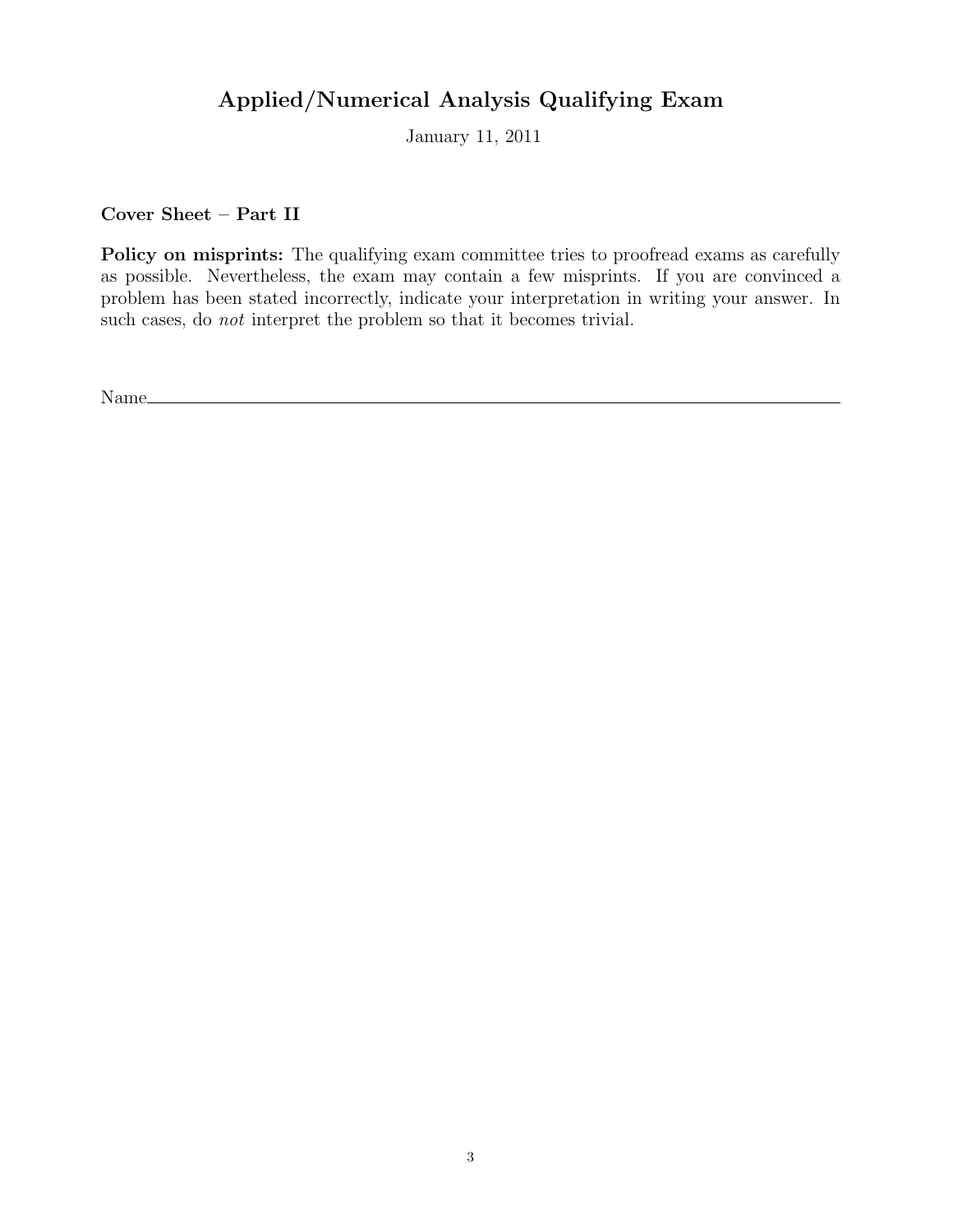## Applied/Numerical Analysis Qualifying Exam

January 11, 2011

Cover Sheet – Part II

Policy on misprints: The qualifying exam committee tries to proofread exams as carefully as possible. Nevertheless, the exam may contain a few misprints. If you are convinced a problem has been stated incorrectly, indicate your interpretation in writing your answer. In such cases, do not interpret the problem so that it becomes trivial.

Name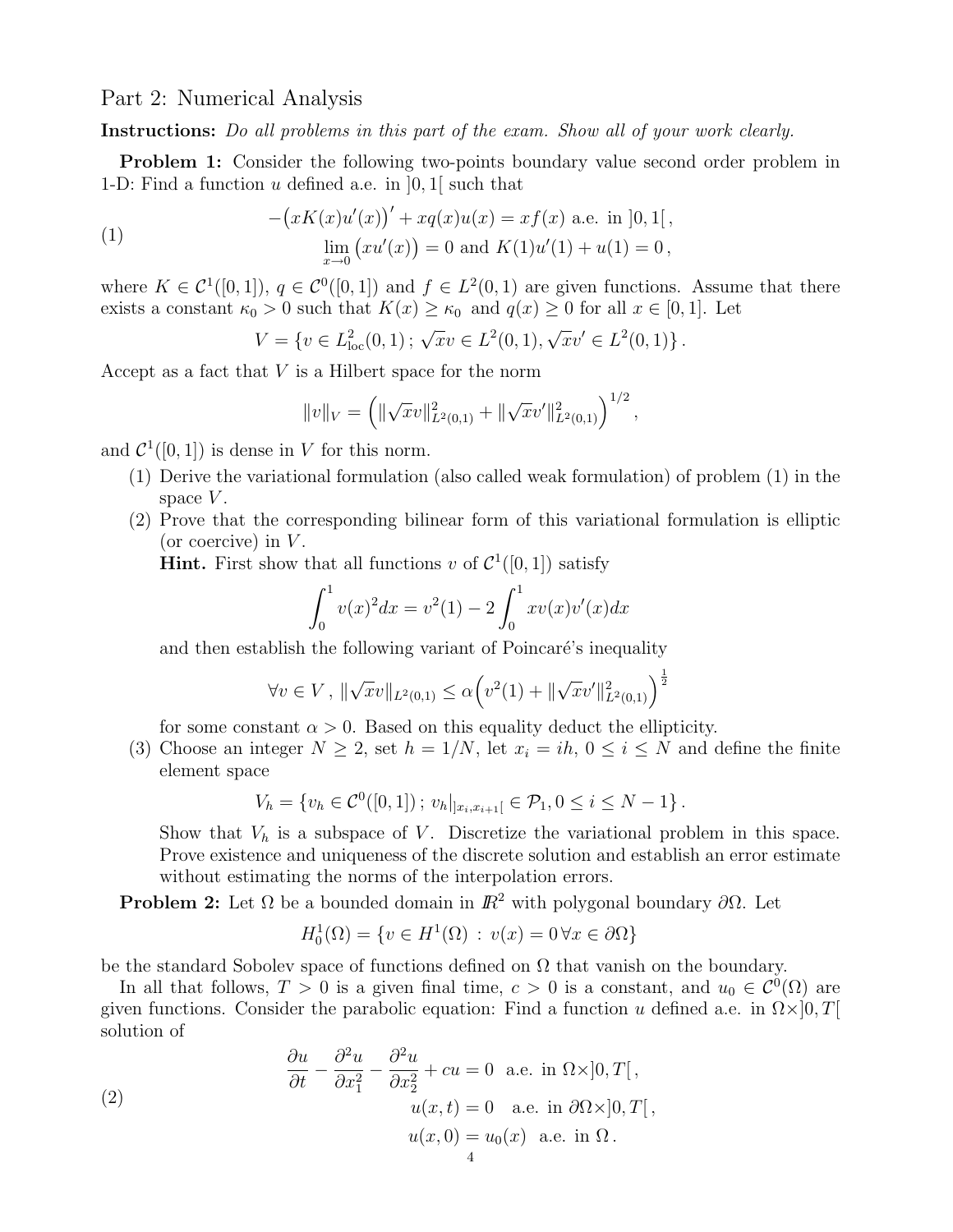Part 2: Numerical Analysis

Instructions: Do all problems in this part of the exam. Show all of your work clearly.

Problem 1: Consider the following two-points boundary value second order problem in 1-D: Find a function u defined a.e. in  $[0, 1]$  such that

(1) 
$$
-(xK(x)u'(x))' + xq(x)u(x) = xf(x) \text{ a.e. in } [0,1[,
$$

$$
\lim_{x \to 0} (xu'(x)) = 0 \text{ and } K(1)u'(1) + u(1) = 0,
$$

where  $K \in \mathcal{C}^1([0,1])$ ,  $q \in \mathcal{C}^0([0,1])$  and  $f \in L^2(0,1)$  are given functions. Assume that there exists a constant  $\kappa_0 > 0$  such that  $K(x) \ge \kappa_0$  and  $q(x) \ge 0$  for all  $x \in [0,1]$ . Let

 $V = \{v \in L^2_{loc}(0,1) \,;\, \sqrt{x}v \in L^2(0,1), \sqrt{x}v' \in L^2(0,1)\}.$ 

Accept as a fact that  $V$  is a Hilbert space for the norm

$$
||v||_V = \left( \|\sqrt{x}v\|_{L^2(0,1)}^2 + \|\sqrt{x}v'\|_{L^2(0,1)}^2 \right)^{1/2},
$$

and  $\mathcal{C}^1([0,1])$  is dense in V for this norm.

- (1) Derive the variational formulation (also called weak formulation) of problem (1) in the space  $V$ .
- (2) Prove that the corresponding bilinear form of this variational formulation is elliptic (or coercive) in  $V$ .

**Hint.** First show that all functions v of  $\mathcal{C}^1([0,1])$  satisfy

$$
\int_0^1 v(x)^2 dx = v^2(1) - 2 \int_0^1 xv(x)v'(x) dx
$$

and then establish the following variant of Poincaré's inequality

$$
\forall v \in V, \|\sqrt{x}v\|_{L^2(0,1)} \leq \alpha \left(v^2(1) + \|\sqrt{x}v'\|_{L^2(0,1)}^2\right)^{\frac{1}{2}}
$$

for some constant  $\alpha > 0$ . Based on this equality deduct the ellipticity.

(3) Choose an integer  $N \geq 2$ , set  $h = 1/N$ , let  $x_i = ih$ ,  $0 \leq i \leq N$  and define the finite element space

$$
V_h = \{ v_h \in C^0([0,1]) \, ; \, v_h|_{]x_i,x_{i+1}[} \in \mathcal{P}_1, 0 \le i \le N-1 \} \, .
$$

Show that  $V_h$  is a subspace of V. Discretize the variational problem in this space. Prove existence and uniqueness of the discrete solution and establish an error estimate without estimating the norms of the interpolation errors.

**Problem 2:** Let  $\Omega$  be a bounded domain in  $\mathbb{R}^2$  with polygonal boundary  $\partial\Omega$ . Let

$$
H_0^1(\Omega) = \{ v \in H^1(\Omega) : v(x) = 0 \,\forall x \in \partial\Omega \}
$$

be the standard Sobolev space of functions defined on  $\Omega$  that vanish on the boundary.

In all that follows,  $T > 0$  is a given final time,  $c > 0$  is a constant, and  $u_0 \in C^0(\Omega)$  are given functions. Consider the parabolic equation: Find a function u defined a.e. in  $\Omega \times ]0,T[$ solution of

(2)  
\n
$$
\frac{\partial u}{\partial t} - \frac{\partial^2 u}{\partial x_1^2} - \frac{\partial^2 u}{\partial x_2^2} + cu = 0 \text{ a.e. in } \Omega \times ]0, T[,
$$
\n
$$
u(x, t) = 0 \text{ a.e. in } \partial \Omega \times ]0, T[,
$$
\n
$$
u(x, 0) = u_0(x) \text{ a.e. in } \Omega.
$$